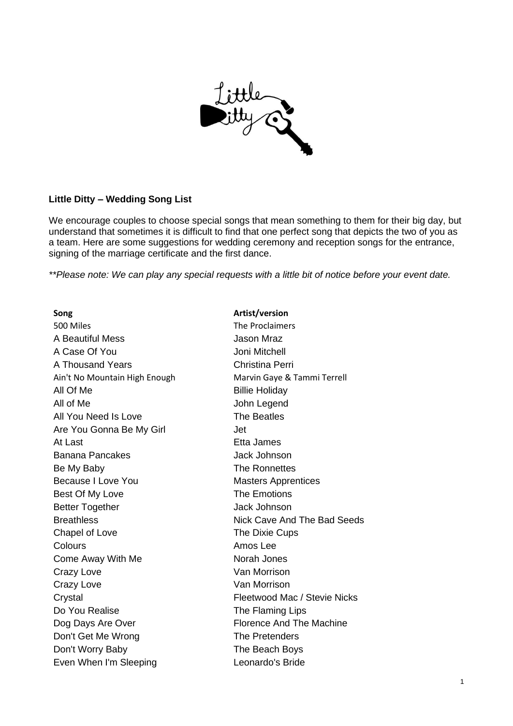

## **Little Ditty – Wedding Song List**

We encourage couples to choose special songs that mean something to them for their big day, but understand that sometimes it is difficult to find that one perfect song that depicts the two of you as a team. Here are some suggestions for wedding ceremony and reception songs for the entrance, signing of the marriage certificate and the first dance.

*\*\*Please note: We can play any special requests with a little bit of notice before your event date.* 

**Song Artist/version** 500 Miles The Proclaimers A Beautiful Mess **A Beautiful Mess Jason Mraz** A Case Of You **Joni Mitchell** A Thousand Years **Christina Perri** Ain't No Mountain High Enough Marvin Gaye & Tammi Terrell All Of Me Billie Holiday All of Me John Legend All You Need Is Love The Beatles Are You Gonna Be My Girl **Are You Gonna Be My Girl** At Last **Etheland Etheland Ethelanes** Banana Pancakes Jack Johnson Be My Baby **The Ronnettes** Because I Love You **Masters** Apprentices Best Of My Love The Emotions Better Together **Gallery Jack Johnson** Chapel of Love The Dixie Cups Colours **Amos** Lee Come Away With Me Norah Jones Crazy Love **Van Morrison** Crazy Love **Van Morrison** Do You Realise The Flaming Lips Dog Days Are Over **Florence And The Machine** Don't Get Me Wrong The Pretenders Don't Worry Baby The Beach Boys Even When I'm Sleeping Leonardo's Bride

Breathless **Nick Cave And The Bad Seeds** Crystal Fleetwood Mac / Stevie Nicks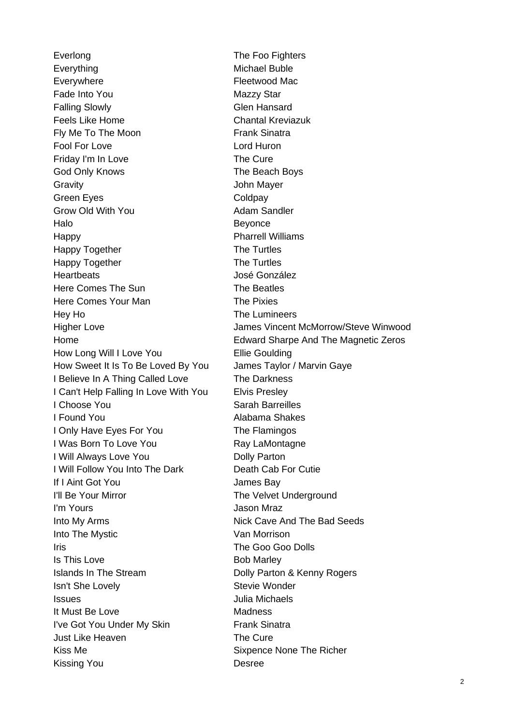Everlong The Foo Fighters Everything Michael Buble Everywhere **Fleetwood Mac** Fade Into You **Mazzy Star** Mazzy Star Falling Slowly **Glen Hansard** Feels Like Home Chantal Kreviazuk Fly Me To The Moon Frank Sinatra Fool For Love Lord Huron Friday I'm In Love The Cure God Only Knows The Beach Boys Gravity John Mayer Green Eyes **Coldpay** Grow Old With You **Adam Sandler** Halo **Beyonce** Happy **Pharrell Williams** Happy Together The Turtles Happy Together The Turtles Heartbeats José González Here Comes The Sun The Beatles Here Comes Your Man The Pixies Hey Ho The Lumineers How Long Will I Love You **Ellie Goulding** How Sweet It Is To Be Loved By You James Taylor / Marvin Gaye I Believe In A Thing Called Love The Darkness I Can't Help Falling In Love With You Elvis Presley I Choose You Sarah Barreilles I Found You **Alabama Shakes** I Only Have Eyes For You The Flamingos I Was Born To Love You **Ray LaMontagne** I Will Always Love You **Dolly Parton** I Will Follow You Into The Dark Death Cab For Cutie If I Aint Got You James Bay I'll Be Your Mirror The Velvet Underground I'm Yours Jason Mraz Into My Arms **Nick Cave And The Bad Seeds** Into The Mystic **Van Morrison Iris** Iris **Internal Coop Coop Dolls** Is This Love Bob Marley Islands In The Stream **Dolly Parton & Kenny Rogers Isn't She Lovely Community Stevie Wonder** Issues Julia Michaels It Must Be Love **Madness** I've Got You Under My Skin Frank Sinatra Just Like Heaven The Cure Kiss Me Sixpence None The Richer Kissing You **Desree** 

Higher Love James Vincent McMorrow/Steve Winwood Home Edward Sharpe And The Magnetic Zeros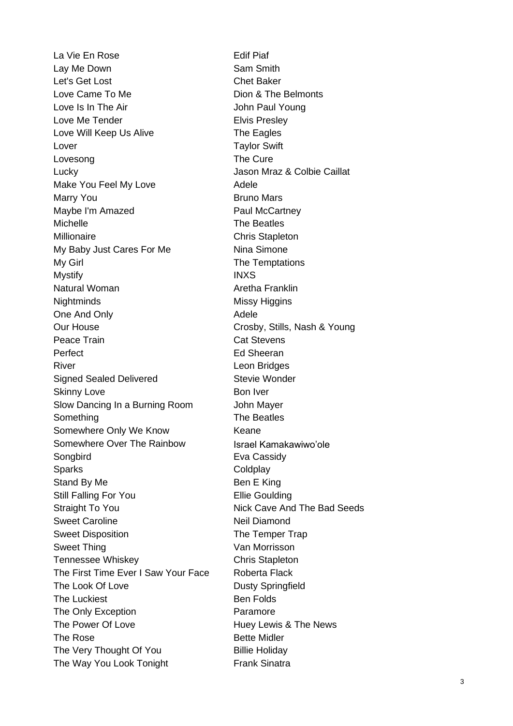La Vie En Rose **Edif** Piaf Lay Me Down Sam Smith Let's Get Lost Chet Baker Love Came To Me **Dion & The Belmonts** Love Is In The Air **In the Air** John Paul Young Love Me Tender **Elvis** Presley Love Will Keep Us Alive The Eagles Lover **Taylor Swift** Lovesong **The Cure** Lucky Jason Mraz & Colbie Caillat Make You Feel My Love **Adele** Marry You **Bruno Mars** Maybe I'm Amazed **Paul McCartney** Michelle **The Beatles** Millionaire Chris Stapleton My Baby Just Cares For Me Nina Simone My Girl **The Temptations** Mystify **INXS** Natural Woman **Aretha Franklin** Nightminds Missy Higgins One And Only **Adele** Adele Our House Crosby, Stills, Nash & Young Peace Train **Cat Stevens** Perfect **Ed Sheeran** River **River River River River River Leon Bridges** Signed Sealed Delivered Stevie Wonder Skinny Love Bon Iver Slow Dancing In a Burning Room John Mayer Something The Beatles Somewhere Only We Know **Keane** Somewhere Over The Rainbow [Israel Kamakawiwo'ole](https://youtu.be/V1bFr2SWP1I) Songbird **Eva Cassidy** Sparks Coldplay Stand By Me Ben E King Still Falling For You **Ellie Goulding** Straight To You **Nick Cave And The Bad Seeds** Sweet Caroline Neil Diamond Sweet Disposition The Temper Trap Sweet Thing Van Morrisson Tennessee Whiskey Chris Stapleton The First Time Ever I Saw Your Face Roberta Flack The Look Of Love Dusty Springfield The Luckiest **Ben** Folds The Only Exception **Paramore** The Power Of Love **Huey Lewis & The News** The Rose **Bette Midler** The Very Thought Of You **Billie Holiday** The Way You Look Tonight Frank Sinatra